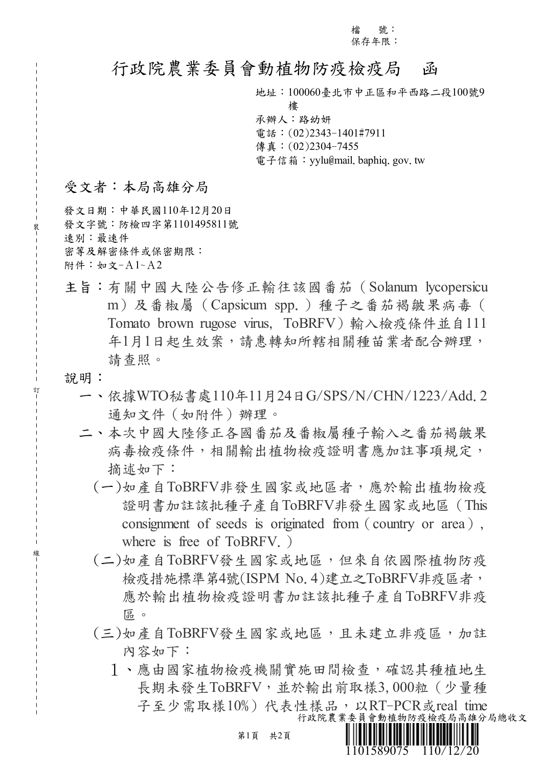檔 號: 保存年限:

## 行政院農業委員會動植物防疫檢疫局 函

地址:100060臺北市中正區和平西路二段100號9

樓

承辦人:路幼妍 電話:(02)2343-1401#7911 傳真:(02)2304-7455 電子信箱: yylu@mail. baphiq. gov. tw

## 受文者:本局高雄分局

發文日期:中華民國110年12月20日 發文字號:防檢四字第1101495811號 速別:最速件 密等及解密條件或保密期限: 附件:如文-A1~A2

- 主旨:有關中國大陸公告修正輸往該國番茄(Solanum lycopersicu m)及番椒屬(Capsicum spp.)種子之番茄褐皺果病毒( Tomato brown rugose virus, ToBRFV)輸入檢疫條件並自111 年1月1日起生效案,請惠轉知所轄相關種苗業者配合辦理, 請查照。
- 說明:

裝

訂

線

- 一、依據WTO秘書處110年11月24日G/SPS/N/CHN/1223/Add.2 通知文件(如附件)辦理。
- 二、本次中國大陸修正各國番茄及番椒屬種子輸入之番茄褐皺果 病毒檢疫條件,相關輸出植物檢疫證明書應加註事項規定, 摘述如下:
	- (一)如產自ToBRFV非發生國家或地區者,應於輸出植物檢疫 證明書加註該批種子產自ToBRFV非發生國家或地區(This consignment of seeds is originated from (country or area), where is free of ToBRFV.
	- (二)如產自ToBRFV發生國家或地區,但來自依國際植物防疫 檢疫措施標準第4號(ISPM No.4)建立之ToBRFV非疫區者, 應於輸出植物檢疫證明書加註該批種子產自ToBRFV非疫 區。
	- (三)如產自ToBRFV發生國家或地區,且未建立非疫區,加註 內容如下:
		- 1、應由國家植物檢疫機關實施田間檢查,確認其種植地生 長期未發生ToBRFV,並於輸出前取樣3,000粒 (少量種 子至少需取樣10%)代表性樣品,以RT-PCR或real time 行政院農業委員會動植物防疫檢疫局高雄分局總收文

1101589075 110/12/20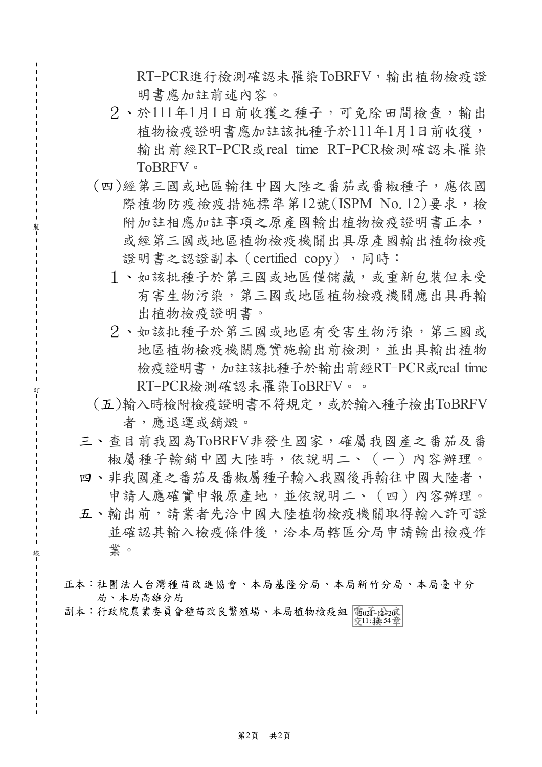$RT$ -PCR進行檢測確認未罹染ToBRFV,輸出植物檢疫證 明書應加註前述內容。

- 2、於111年1月1日前收獲之種子,可免除田間檢查,輸出 植物檢疫證明書應加註該批種子於111年1月1日前收獲, 輸出前經RT-PCR或real time RT-PCR檢測確認未罹染 ToBRFV。
- (四)經第三國或地區輸往中國大陸之番茄或番椒種子,應依國 際植物防疫檢疫措施標準第12號(ISPM No.12)要求,檢 附加註相應加註事項之原產國輸出植物檢疫證明書正本, 或經第三國或地區植物檢疫機關出具原產國輸出植物檢疫 證明書之認證副本 (certified copy),同時:
	- 1、如該批種子於第三國或地區僅儲藏,或重新包裝但未受 有害生物污染,第三國或地區植物檢疫機關應出具再輸 出植物檢疫證明書。
	- 2、如該批種子於第三國或地區有受害生物污染,第三國或 地區植物檢疫機關應實施輸出前檢測,並出具輸出植物 檢疫證明書,加註該批種子於輸出前經RT-PCR或real time RT-PCR檢測確認未罹染ToBRFV。。
- (五)輸入時檢附檢疫證明書不符規定,或於輸入種子檢出ToBRFV 者,應退運或銷燬。
- 三、查目前我國為ToBRFV非發生國家,確屬我國產之番茄及番 椒屬種子輸銷中國大陸時,依說明二、(一)內容辦理。
- 四、非我國產之番茄及番椒屬種子輸入我國後再輸往中國大陸者, 申請人應確實申報原產地,並依說明二、(四)內容辦理。
- 五、輸出前,請業者先洽中國大陸植物檢疫機關取得輸入許可證 並確認其輸入檢疫條件後,洽本局轄區分局申請輸出檢疫作 業。
- 正本:社團法人台灣種苗改進協會、本局基隆分局、本局新竹分局、本局臺中分 局、本局高雄分局
- 副本:行政院農業委員會種苗改良繁殖場、本局植物檢疫組 電面子陰20 京11:掻54章

裝

訂

線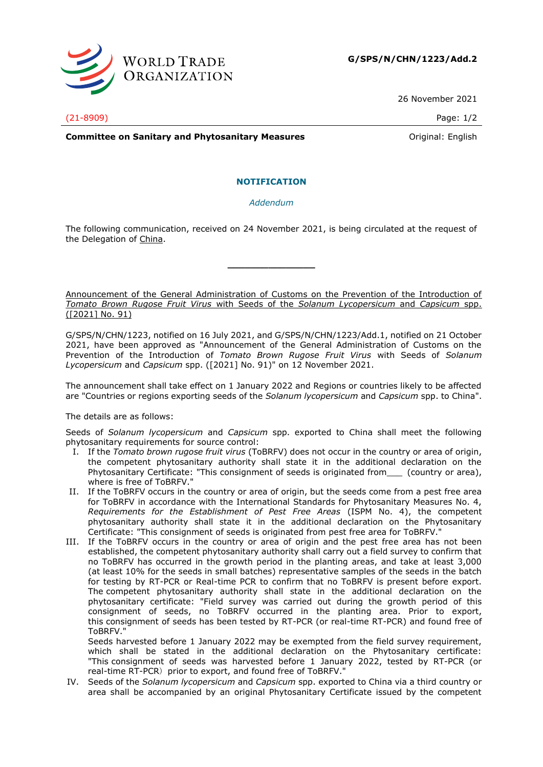

26 November 2021

(21-8909) Page: 1/2

**Committee on Sanitary and Phytosanitary Measures Committee on Sanitary and Phytosanitary Measures Committee And American** 

#### **NOTIFICATION**

*Addendum*

The following communication, received on 24 November 2021, is being circulated at the request of the Delegation of China.

**\_\_\_\_\_\_\_\_\_\_\_\_\_\_\_**

Announcement of the General Administration of Customs on the Prevention of the Introduction of *Tomato Brown Rugose Fruit Virus* with Seeds of the *Solanum Lycopersicum* and *Capsicum* spp. ([2021] No. 91)

G/SPS/N/CHN/1223, notified on 16 July 2021, and G/SPS/N/CHN/1223/Add.1, notified on 21 October 2021, have been approved as "Announcement of the General Administration of Customs on the Prevention of the Introduction of *Tomato Brown Rugose Fruit Virus* with Seeds of *Solanum Lycopersicum* and *Capsicum* spp. ([2021] No. 91)" on 12 November 2021.

The announcement shall take effect on 1 January 2022 and Regions or countries likely to be affected are "Countries or regions exporting seeds of the *Solanum lycopersicum* and *Capsicum* spp. to China".

The details are as follows:

Seeds of *Solanum lycopersicum* and *Capsicum* spp. exported to China shall meet the following phytosanitary requirements for source control:

- I. If the *Tomato brown rugose fruit virus* (ToBRFV) does not occur in the country or area of origin, the competent phytosanitary authority shall state it in the additional declaration on the Phytosanitary Certificate: "This consignment of seeds is originated from\_\_\_ (country or area), where is free of ToBRFV."
- II. If the ToBRFV occurs in the country or area of origin, but the seeds come from a pest free area for ToBRFV in accordance with the International Standards for Phytosanitary Measures No. 4, *Requirements for the Establishment of Pest Free Areas* (ISPM No. 4), the competent phytosanitary authority shall state it in the additional declaration on the Phytosanitary Certificate: "This consignment of seeds is originated from pest free area for ToBRFV."
- III. If the ToBRFV occurs in the country or area of origin and the pest free area has not been established, the competent phytosanitary authority shall carry out a field survey to confirm that no ToBRFV has occurred in the growth period in the planting areas, and take at least 3,000 (at least 10% for the seeds in small batches) representative samples of the seeds in the batch for testing by RT-PCR or Real-time PCR to confirm that no ToBRFV is present before export. The competent phytosanitary authority shall state in the additional declaration on the phytosanitary certificate: "Field survey was carried out during the growth period of this consignment of seeds, no ToBRFV occurred in the planting area. Prior to export, this consignment of seeds has been tested by RT-PCR (or real-time RT-PCR) and found free of ToBRFV."

Seeds harvested before 1 January 2022 may be exempted from the field survey requirement, which shall be stated in the additional declaration on the Phytosanitary certificate: "This consignment of seeds was harvested before 1 January 2022, tested by RT-PCR (or real-time RT-PCR) prior to export, and found free of ToBRFV."

IV. Seeds of the *Solanum lycopersicum* and *Capsicum* spp. exported to China via a third country or area shall be accompanied by an original Phytosanitary Certificate issued by the competent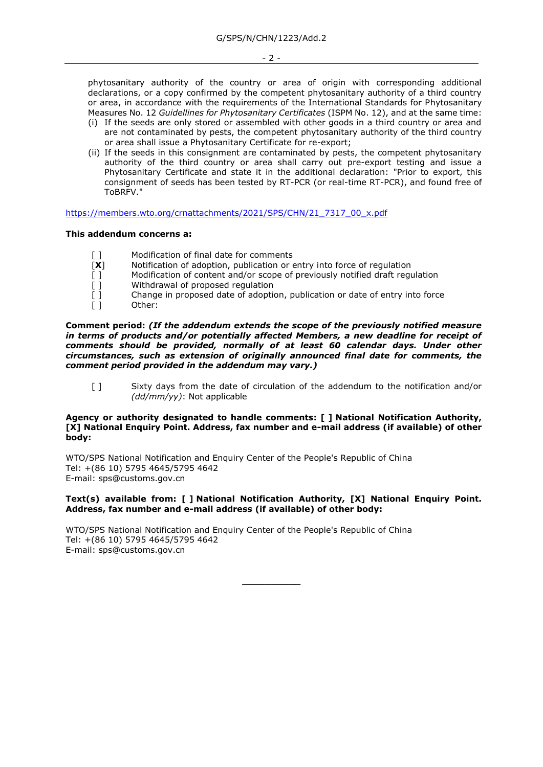phytosanitary authority of the country or area of origin with corresponding additional declarations, or a copy confirmed by the competent phytosanitary authority of a third country or area, in accordance with the requirements of the International Standards for Phytosanitary Measures No. 12 *Guidellines for Phytosanitary Certificates* (ISPM No. 12), and at the same time:

- (i) If the seeds are only stored or assembled with other goods in a third country or area and are not contaminated by pests, the competent phytosanitary authority of the third country or area shall issue a Phytosanitary Certificate for re-export;
- (ii) If the seeds in this consignment are contaminated by pests, the competent phytosanitary authority of the third country or area shall carry out pre-export testing and issue a Phytosanitary Certificate and state it in the additional declaration: "Prior to export, this consignment of seeds has been tested by RT-PCR (or real-time RT-PCR), and found free of ToBRFV."

[https://members.wto.org/crnattachments/2021/SPS/CHN/21\\_7317\\_00\\_x.pdf](https://members.wto.org/crnattachments/2021/SPS/CHN/21_7317_00_x.pdf)

#### **This addendum concerns a:**

- [ ] Modification of final date for comments<br>
[X] Notification of adoption, publication or e
- Notification of adoption, publication or entry into force of regulation
- [ ] Modification of content and/or scope of previously notified draft regulation [ ]
- Withdrawal of proposed regulation
- [ ] Change in proposed date of adoption, publication or date of entry into force [ ]
- Other:

**Comment period:** *(If the addendum extends the scope of the previously notified measure in terms of products and/or potentially affected Members, a new deadline for receipt of comments should be provided, normally of at least 60 calendar days. Under other circumstances, such as extension of originally announced final date for comments, the comment period provided in the addendum may vary.)*

[ ] Sixty days from the date of circulation of the addendum to the notification and/or *(dd/mm/yy)*: Not applicable

#### **Agency or authority designated to handle comments: [ ] National Notification Authority, [X] National Enquiry Point. Address, fax number and e-mail address (if available) of other body:**

WTO/SPS National Notification and Enquiry Center of the People's Republic of China Tel: +(86 10) 5795 4645/5795 4642 E-mail: sps@customs.gov.cn

#### **Text(s) available from: [ ] National Notification Authority, [X] National Enquiry Point. Address, fax number and e-mail address (if available) of other body:**

WTO/SPS National Notification and Enquiry Center of the People's Republic of China Tel: +(86 10) 5795 4645/5795 4642 E-mail: sps@customs.gov.cn

**\_\_\_\_\_\_\_\_\_\_**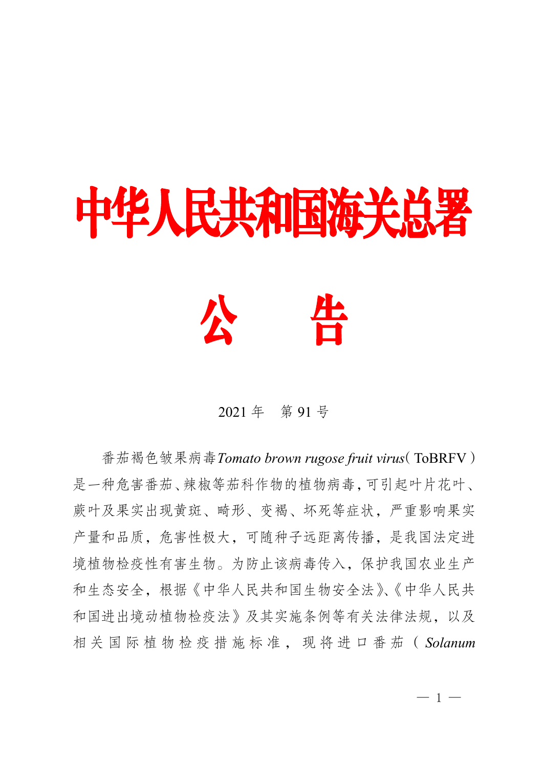# 中华人民共和国海关总署



## 2021 年 第 91 号

番茄褐色皱果病毒*Tomato brown rugose fruit virus*(ToBRFV) 是一种危害番茄、辣椒等茄科作物的植物病毒,可引起叶片花叶、 蕨叶及果实出现黄斑、畸形、变褐、坏死等症状,严重影响果实 产量和品质,危害性极大,可随种子远距离传播,是我国法定进 境植物检疫性有害生物。为防止该病毒传入,保护我国农业生产 和生态安全,根据《中华人民共和国生物安全法》、《中华人民共 和国进出境动植物检疫法》及其实施条例等有关法律法规,以及 相 关 国 际 植 物 检 疫 措 施 标 准 , 现 将 进 口 番 茄 ( *Solanum*

 $-1 -$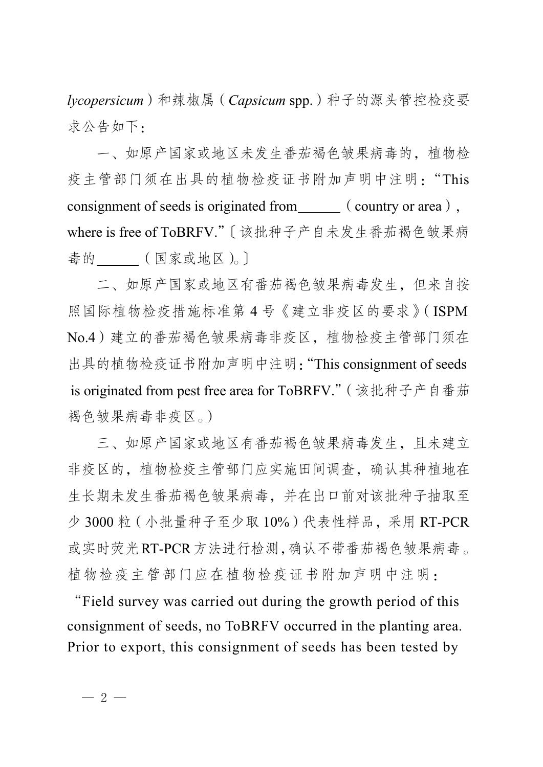*lycopersicum*)和辣椒属(*Capsicum* spp.)种子的源头管控检疫要 求公告如下:

一、如原产国家或地区未发生番茄褐色皱果病毒的,植物检 疫主管部门须在出具的植物检疫证书附加声明中注明:"This consignment of seeds is originated from  $\qquad \qquad$  (country or area), where is free of ToBRFV."〔该批种子产自未发生番茄褐色皱果病 毒的\_\_\_\_\_(国家或地区)。〕

二、如原产国家或地区有番茄褐色皱果病毒发生,但来自按 照国际植物检疫措施标准第 4 号《建立非疫区的要求》(ISPM No.4)建立的番茄褐色皱果病毒非疫区,植物检疫主管部门须在 出具的植物检疫证书附加声明中注明:"This consignment of seeds is originated from pest free area for ToBRFV."(该批种子产自番茄 褐色皱果病毒非疫区。)

三、如原产国家或地区有番茄褐色皱果病毒发生,且未建立 非疫区的,植物检疫主管部门应实施田间调查,确认其种植地在 生长期未发生番茄褐色皱果病毒,并在出口前对该批种子抽取至 少 3000 粒(小批量种子至少取 10%)代表性样品,采用 RT-PCR 或实时荧光RT-PCR方法进行检测,确认不带番茄褐色皱果病毒。 植物检疫主管部门应在植物检疫证书附加声明中注明:

"Field survey was carried out during the growth period of this consignment of seeds, no ToBRFV occurred in the planting area. Prior to export, this consignment of seeds has been tested by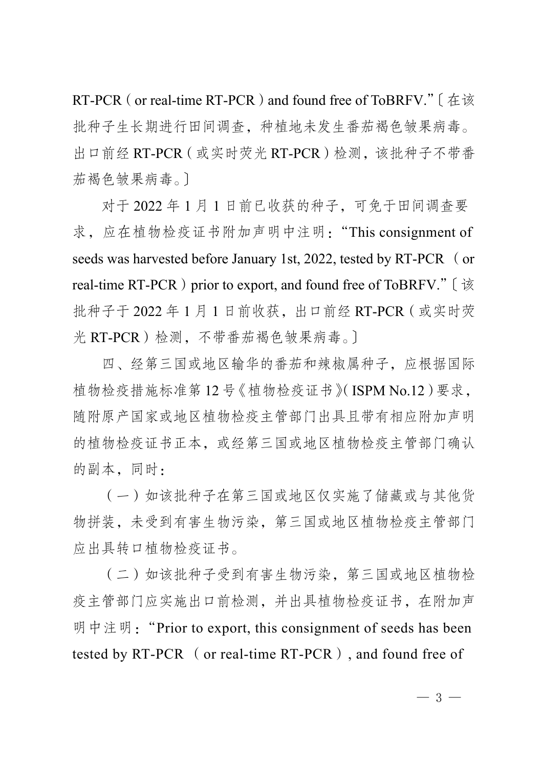RT-PCR (or real-time RT-PCR) and found free of ToBRFV." [在该 批种子生长期进行田间调查,种植地未发生番茄褐色皱果病毒。 出口前经 RT-PCR (或实时荧光 RT-PCR)检测,该批种子不带番 茄褐色皱果病毒。〕

对于 2022 年 1 月 1 日前已收获的种子,可免于田间调查要 求,应在植物检疫证书附加声明中注明:"This consignment of seeds was harvested before January 1st, 2022, tested by RT-PCR (or real-time RT-PCR) prior to export, and found free of ToBRFV." [该 批种子于 2022 年 1 月 1 日前收获,出口前经 RT-PCR(或实时荧 光 RT-PCR)检测,不带番茄褐色皱果病毒。〕

四、经第三国或地区输华的番茄和辣椒属种子,应根据国际 植物检疫措施标准第 12 号《植物检疫证书》(ISPM No.12)要求, 随附原产国家或地区植物检疫主管部门出具且带有相应附加声明 的植物检疫证书正本,或经第三国或地区植物检疫主管部门确认 的副本,同时:

(一)如该批种子在第三国或地区仅实施了储藏或与其他货 物拼装,未受到有害生物污染,第三国或地区植物检疫主管部门 应出具转口植物检疫证书。

(二)如该批种子受到有害生物污染,第三国或地区植物检 疫主管部门应实施出口前检测,并出具植物检疫证书,在附加声 明中注明: "Prior to export, this consignment of seeds has been tested by RT-PCR (or real-time RT-PCR), and found free of

 $-3 -$